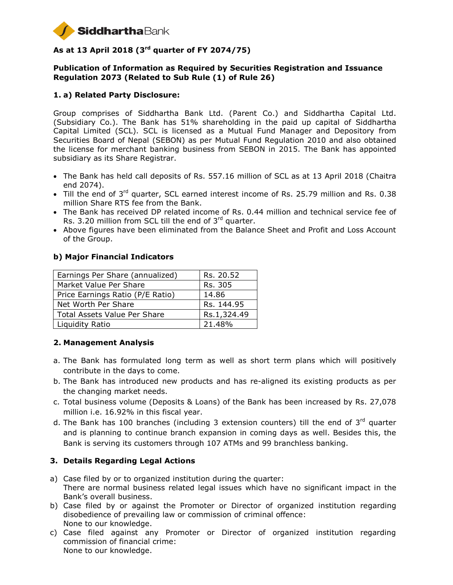

# **As at 13 April 2018 (3 rd quarter of FY 2074/75)**

### **Publication of Information as Required by Securities Registration and Issuance Regulation 2073 (Related to Sub Rule (1) of Rule 26)**

## **1. a) Related Party Disclosure:**

Group comprises of Siddhartha Bank Ltd. (Parent Co.) and Siddhartha Capital Ltd. (Subsidiary Co.). The Bank has 51% shareholding in the paid up capital of Siddhartha Capital Limited (SCL). SCL is licensed as a Mutual Fund Manager and Depository from Securities Board of Nepal (SEBON) as per Mutual Fund Regulation 2010 and also obtained the license for merchant banking business from SEBON in 2015. The Bank has appointed subsidiary as its Share Registrar.

- The Bank has held call deposits of Rs. 557.16 million of SCL as at 13 April 2018 (Chaitra end 2074).
- $\bullet$  Till the end of 3<sup>rd</sup> quarter, SCL earned interest income of Rs. 25.79 million and Rs. 0.38 million Share RTS fee from the Bank.
- The Bank has received DP related income of Rs. 0.44 million and technical service fee of Rs. 3.20 million from SCL till the end of  $3<sup>rd</sup>$  quarter.
- Above figures have been eliminated from the Balance Sheet and Profit and Loss Account of the Group.

### **b) Major Financial Indicators**

| Earnings Per Share (annualized)     | Rs. 20.52   |
|-------------------------------------|-------------|
| Market Value Per Share              | Rs. 305     |
| Price Earnings Ratio (P/E Ratio)    | 14.86       |
| Net Worth Per Share                 | Rs. 144.95  |
| <b>Total Assets Value Per Share</b> | Rs.1,324.49 |
| Liquidity Ratio                     | 21.48%      |

## **2. Management Analysis**

- a. The Bank has formulated long term as well as short term plans which will positively contribute in the days to come.
- b. The Bank has introduced new products and has re-aligned its existing products as per the changing market needs.
- c. Total business volume (Deposits & Loans) of the Bank has been increased by Rs. 27,078 million i.e. 16.92% in this fiscal year.
- d. The Bank has 100 branches (including 3 extension counters) till the end of 3rd quarter and is planning to continue branch expansion in coming days as well. Besides this, the Bank is serving its customers through 107 ATMs and 99 branchless banking.

## **3. Details Regarding Legal Actions**

- a) Case filed by or to organized institution during the quarter: There are normal business related legal issues which have no significant impact in the Bank's overall business.
- b) Case filed by or against the Promoter or Director of organized institution regarding disobedience of prevailing law or commission of criminal offence: None to our knowledge.
- c) Case filed against any Promoter or Director of organized institution regarding commission of financial crime: None to our knowledge.